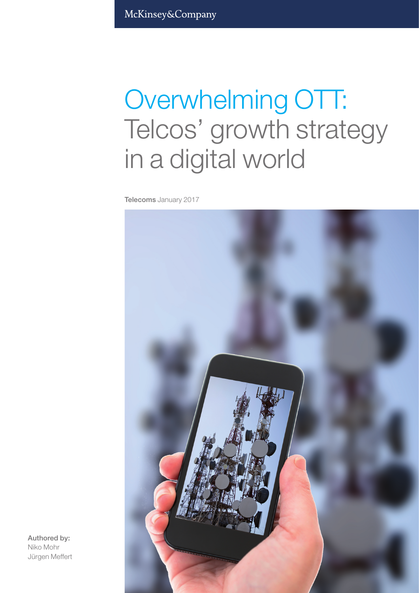# Overwhelming OTT: Telcos' growth strategy in a digital world

Telecoms January 2017



Authored by: Niko Mohr Jürgen Meffert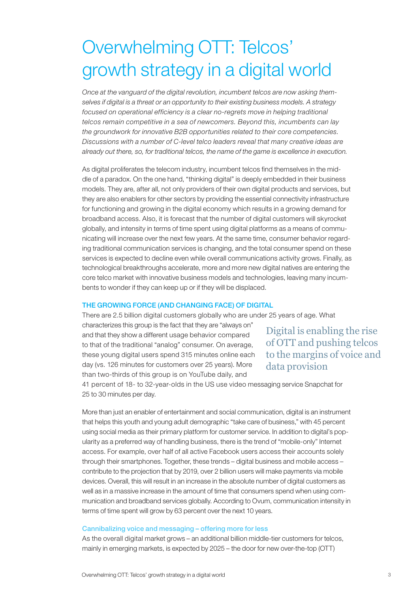# Overwhelming OTT: Telcos' growth strategy in a digital world

*Once at the vanguard of the digital revolution, incumbent telcos are now asking themselves if digital is a threat or an opportunity to their existing business models. A strategy focused on operational efficiency is a clear no-regrets move in helping traditional telcos remain competitive in a sea of newcomers. Beyond this, incumbents can lay the groundwork for innovative B2B opportunities related to their core competencies. Discussions with a number of C-level telco leaders reveal that many creative ideas are already out there, so, for traditional telcos, the name of the game is excellence in execution.* 

As digital proliferates the telecom industry, incumbent telcos find themselves in the middle of a paradox. On the one hand, "thinking digital" is deeply embedded in their business models. They are, after all, not only providers of their own digital products and services, but they are also enablers for other sectors by providing the essential connectivity infrastructure for functioning and growing in the digital economy which results in a growing demand for broadband access. Also, it is forecast that the number of digital customers will skyrocket globally, and intensity in terms of time spent using digital platforms as a means of communicating will increase over the next few years. At the same time, consumer behavior regarding traditional communication services is changing, and the total consumer spend on these services is expected to decline even while overall communications activity grows. Finally, as technological breakthroughs accelerate, more and more new digital natives are entering the core telco market with innovative business models and technologies, leaving many incumbents to wonder if they can keep up or if they will be displaced.

#### THE GROWING FORCE (AND CHANGING FACE) OF DIGITAL

There are 2.5 billion digital customers globally who are under 25 years of age. What

characterizes this group is the fact that they are "always on" and that they show a different usage behavior compared to that of the traditional "analog" consumer. On average, these young digital users spend 315 minutes online each day (vs. 126 minutes for customers over 25 years). More than two-thirds of this group is on YouTube daily, and

Digital is enabling the rise of OTT and pushing telcos to the margins of voice and data provision

41 percent of 18- to 32-year-olds in the US use video messaging service Snapchat for 25 to 30 minutes per day.

More than just an enabler of entertainment and social communication, digital is an instrument that helps this youth and young adult demographic "take care of business," with 45 percent using social media as their primary platform for customer service. In addition to digital's popularity as a preferred way of handling business, there is the trend of "mobile-only" Internet access. For example, over half of all active Facebook users access their accounts solely through their smartphones. Together, these trends – digital business and mobile access – contribute to the projection that by 2019, over 2 billion users will make payments via mobile devices. Overall, this will result in an increase in the absolute number of digital customers as well as in a massive increase in the amount of time that consumers spend when using communication and broadband services globally. According to Ovum, communication intensity in terms of time spent will grow by 63 percent over the next 10 years.

#### Cannibalizing voice and messaging – offering more for less

As the overall digital market grows – an additional billion middle-tier customers for telcos, mainly in emerging markets, is expected by 2025 – the door for new over-the-top (OTT)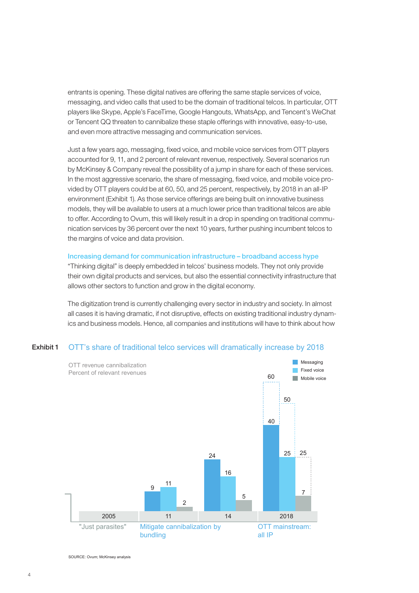entrants is opening. These digital natives are offering the same staple services of voice, messaging, and video calls that used to be the domain of traditional telcos. In particular, OTT players like Skype, Apple's FaceTime, Google Hangouts, WhatsApp, and Tencent's WeChat or Tencent QQ threaten to cannibalize these staple offerings with innovative, easy-to-use, and even more attractive messaging and communication services.

Just a few years ago, messaging, fixed voice, and mobile voice services from OTT players accounted for 9, 11, and 2 percent of relevant revenue, respectively. Several scenarios run by McKinsey & Company reveal the possibility of a jump in share for each of these services. In the most aggressive scenario, the share of messaging, fixed voice, and mobile voice provided by OTT players could be at 60, 50, and 25 percent, respectively, by 2018 in an all-IP environment (Exhibit 1). As those service offerings are being built on innovative business models, they will be available to users at a much lower price than traditional telcos are able to offer. According to Ovum, this will likely result in a drop in spending on traditional communication services by 36 percent over the next 10 years, further pushing incumbent telcos to the margins of voice and data provision.

### Increasing demand for communication infrastructure – broadband access hype

"Thinking digital" is deeply embedded in telcos' business models. They not only provide their own digital products and services, but also the essential connectivity infrastructure that allows other sectors to function and grow in the digital economy.

The digitization trend is currently challenging every sector in industry and society. In almost all cases it is having dramatic, if not disruptive, effects on existing traditional industry dynamics and business models. Hence, all companies and institutions will have to think about how

#### OTT's share of traditional telco services will dramatically increase by 2018 Exhibit 1



SOURCE: Ovum; McKinsey analysis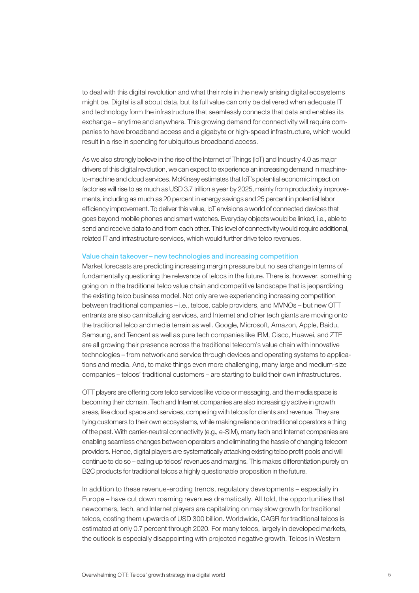to deal with this digital revolution and what their role in the newly arising digital ecosystems might be. Digital is all about data, but its full value can only be delivered when adequate IT and technology form the infrastructure that seamlessly connects that data and enables its exchange – anytime and anywhere. This growing demand for connectivity will require companies to have broadband access and a gigabyte or high-speed infrastructure, which would result in a rise in spending for ubiquitous broadband access.

As we also strongly believe in the rise of the Internet of Things (IoT) and Industry 4.0 as major drivers of this digital revolution, we can expect to experience an increasing demand in machineto-machine and cloud services. McKinsey estimates that IoT's potential economic impact on factories will rise to as much as USD 3.7 trillion a year by 2025, mainly from productivity improvements, including as much as 20 percent in energy savings and 25 percent in potential labor efficiency improvement. To deliver this value, IoT envisions a world of connected devices that goes beyond mobile phones and smart watches. Everyday objects would be linked, i.e., able to send and receive data to and from each other. This level of connectivity would require additional, related IT and infrastructure services, which would further drive telco revenues.

#### Value chain takeover – new technologies and increasing competition

Market forecasts are predicting increasing margin pressure but no sea change in terms of fundamentally questioning the relevance of telcos in the future. There is, however, something going on in the traditional telco value chain and competitive landscape that is jeopardizing the existing telco business model. Not only are we experiencing increasing competition between traditional companies – i.e., telcos, cable providers, and MVNOs – but new OTT entrants are also cannibalizing services, and Internet and other tech giants are moving onto the traditional telco and media terrain as well. Google, Microsoft, Amazon, Apple, Baidu, Samsung, and Tencent as well as pure tech companies like IBM, Cisco, Huawei, and ZTE are all growing their presence across the traditional telecom's value chain with innovative technologies – from network and service through devices and operating systems to applications and media. And, to make things even more challenging, many large and medium-size companies – telcos' traditional customers – are starting to build their own infrastructures.

OTT players are offering core telco services like voice or messaging, and the media space is becoming their domain. Tech and Internet companies are also increasingly active in growth areas, like cloud space and services, competing with telcos for clients and revenue. They are tying customers to their own ecosystems, while making reliance on traditional operators a thing of the past. With carrier-neutral connectivity (e.g., e-SIM), many tech and Internet companies are enabling seamless changes between operators and eliminating the hassle of changing telecom providers. Hence, digital players are systematically attacking existing telco profit pools and will continue to do so – eating up telcos' revenues and margins. This makes differentiation purely on B2C products for traditional telcos a highly questionable proposition in the future.

In addition to these revenue-eroding trends, regulatory developments – especially in Europe – have cut down roaming revenues dramatically. All told, the opportunities that newcomers, tech, and Internet players are capitalizing on may slow growth for traditional telcos, costing them upwards of USD 300 billion. Worldwide, CAGR for traditional telcos is estimated at only 0.7 percent through 2020. For many telcos, largely in developed markets, the outlook is especially disappointing with projected negative growth. Telcos in Western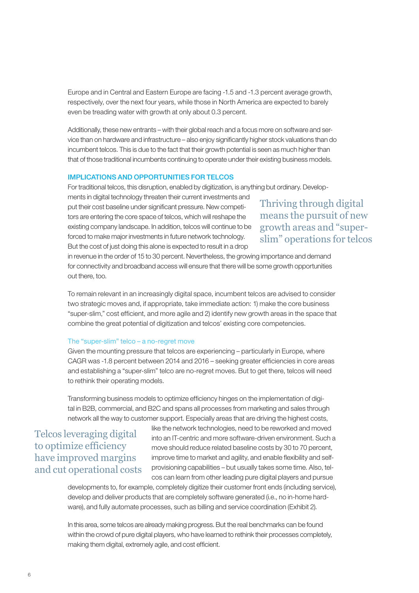Europe and in Central and Eastern Europe are facing -1.5 and -1.3 percent average growth, respectively, over the next four years, while those in North America are expected to barely even be treading water with growth at only about 0.3 percent.

Additionally, these new entrants – with their global reach and a focus more on software and service than on hardware and infrastructure – also enjoy significantly higher stock valuations than do incumbent telcos. This is due to the fact that their growth potential is seen as much higher than that of those traditional incumbents continuing to operate under their existing business models.

#### IMPLICATIONS AND OPPORTUNITIES FOR TELCOS

For traditional telcos, this disruption, enabled by digitization, is anything but ordinary. Develop-

ments in digital technology threaten their current investments and put their cost baseline under significant pressure. New competitors are entering the core space of telcos, which will reshape the existing company landscape. In addition, telcos will continue to be forced to make major investments in future network technology. But the cost of just doing this alone is expected to result in a drop

Thriving through digital means the pursuit of new growth areas and "superslim" operations for telcos

in revenue in the order of 15 to 30 percent. Nevertheless, the growing importance and demand for connectivity and broadband access will ensure that there will be some growth opportunities out there, too.

To remain relevant in an increasingly digital space, incumbent telcos are advised to consider two strategic moves and, if appropriate, take immediate action: 1) make the core business "super-slim," cost efficient, and more agile and 2) identify new growth areas in the space that combine the great potential of digitization and telcos' existing core competencies.

#### The "super-slim" telco – a no-regret move

Given the mounting pressure that telcos are experiencing – particularly in Europe, where CAGR was -1.8 percent between 2014 and 2016 – seeking greater efficiencies in core areas and establishing a "super-slim" telco are no-regret moves. But to get there, telcos will need to rethink their operating models.

Transforming business models to optimize efficiency hinges on the implementation of digital in B2B, commercial, and B2C and spans all processes from marketing and sales through network all the way to customer support. Especially areas that are driving the highest costs,

# Telcos leveraging digital to optimize efficiency have improved margins and cut operational costs

like the network technologies, need to be reworked and moved into an IT-centric and more software-driven environment. Such a move should reduce related baseline costs by 30 to 70 percent, improve time to market and agility, and enable flexibility and selfprovisioning capabilities – but usually takes some time. Also, telcos can learn from other leading pure digital players and pursue

developments to, for example, completely digitize their customer front ends (including service), develop and deliver products that are completely software generated (i.e., no in-home hardware), and fully automate processes, such as billing and service coordination (Exhibit 2).

In this area, some telcos are already making progress. But the real benchmarks can be found within the crowd of pure digital players, who have learned to rethink their processes completely, making them digital, extremely agile, and cost efficient.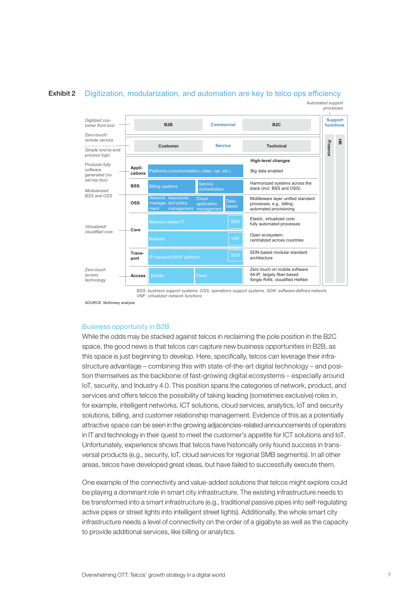



*BSS: business support systems, OSS: operations support systems, SDN: software-defined network, VNF: virtualized network functions*

SOURCE: McKinsey analysis

#### Business opportunity in B2B

While the odds may be stacked against telcos in reclaiming the pole position in the B2C space, the good news is that telcos can capture new business opportunities in B2B, as this space is just beginning to develop. Here, specifically, telcos can leverage their infrastructure advantage – combining this with state-of-the-art digital technology – and position themselves as the backbone of fast-growing digital ecosystems – especially around IoT, security, and Industry 4.0. This position spans the categories of network, product, and services and offers telcos the possibility of taking leading (sometimes exclusive) roles in, for example, intelligent networks, ICT solutions, cloud services, analytics, IoT and security solutions, billing, and customer relationship management. Evidence of this as a potentially attractive space can be seen in the growing adjacencies-related announcements of operators in IT and technology in their quest to meet the customer's appetite for ICT solutions and IoT. Unfortunately, experience shows that telcos have historically only found success in transversal products (e.g., security, IoT, cloud services for regional SMB segments). In all other areas, telcos have developed great ideas, but have failed to successfully execute them.

One example of the connectivity and value-added solutions that telcos might explore could be playing a dominant role in smart city infrastructure. The existing infrastructure needs to be transformed into a smart infrastructure (e.g., traditional passive pipes into self-regulating active pipes or street lights into intelligent street lights). Additionally, the whole smart city infrastructure needs a level of connectivity on the order of a gigabyte as well as the capacity to provide additional services, like billing or analytics.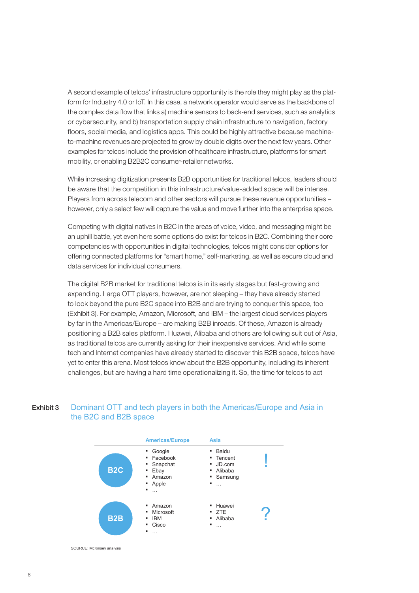A second example of telcos' infrastructure opportunity is the role they might play as the platform for Industry 4.0 or IoT. In this case, a network operator would serve as the backbone of the complex data flow that links a) machine sensors to back-end services, such as analytics or cybersecurity, and b) transportation supply chain infrastructure to navigation, factory floors, social media, and logistics apps. This could be highly attractive because machineto-machine revenues are projected to grow by double digits over the next few years. Other examples for telcos include the provision of healthcare infrastructure, platforms for smart mobility, or enabling B2B2C consumer-retailer networks.

While increasing digitization presents B2B opportunities for traditional telcos, leaders should be aware that the competition in this infrastructure/value-added space will be intense. Players from across telecom and other sectors will pursue these revenue opportunities – however, only a select few will capture the value and move further into the enterprise space.

Competing with digital natives in B2C in the areas of voice, video, and messaging might be an uphill battle, yet even here some options do exist for telcos in B2C. Combining their core competencies with opportunities in digital technologies, telcos might consider options for offering connected platforms for "smart home," self-marketing, as well as secure cloud and data services for individual consumers.

The digital B2B market for traditional telcos is in its early stages but fast-growing and expanding. Large OTT players, however, are not sleeping – they have already started to look beyond the pure B2C space into B2B and are trying to conquer this space, too (Exhibit 3). For example, Amazon, Microsoft, and IBM – the largest cloud services players by far in the Americas/Europe – are making B2B inroads. Of these, Amazon is already positioning a B2B sales platform. Huawei, Alibaba and others are following suit out of Asia, as traditional telcos are currently asking for their inexpensive services. And while some tech and Internet companies have already started to discover this B2B space, telcos have yet to enter this arena. Most telcos know about the B2B opportunity, including its inherent challenges, but are having a hard time operationalizing it. So, the time for telcos to act

#### Dominant OTT and tech players in both the Americas/Europe and Asia in the B2C and B2B space Exhibit 3



SOURCE: McKinsey analysis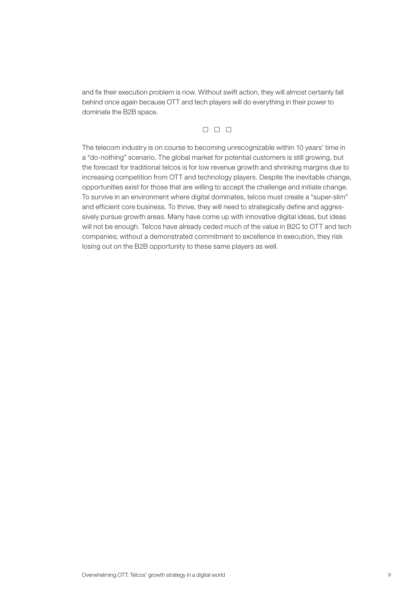and fix their execution problem is now. Without swift action, they will almost certainly fall behind once again because OTT and tech players will do everything in their power to dominate the B2B space.

# $\Box$   $\Box$   $\Box$

The telecom industry is on course to becoming unrecognizable within 10 years' time in a "do-nothing" scenario. The global market for potential customers is still growing, but the forecast for traditional telcos is for low revenue growth and shrinking margins due to increasing competition from OTT and technology players. Despite the inevitable change, opportunities exist for those that are willing to accept the challenge and initiate change. To survive in an environment where digital dominates, telcos must create a "super-slim" and efficient core business. To thrive, they will need to strategically define and aggressively pursue growth areas. Many have come up with innovative digital ideas, but ideas will not be enough. Telcos have already ceded much of the value in B2C to OTT and tech companies; without a demonstrated commitment to excellence in execution, they risk losing out on the B2B opportunity to these same players as well.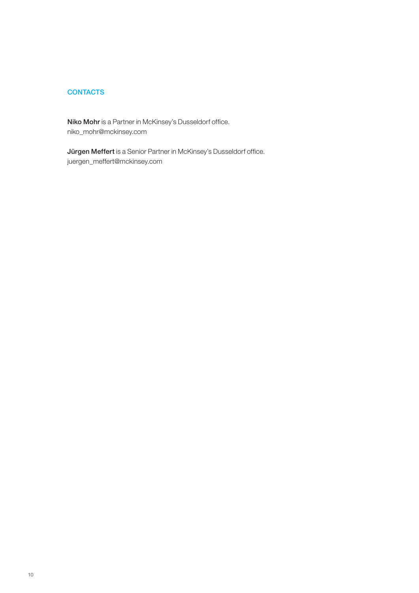# **CONTACTS**

Niko Mohr is a Partner in McKinsey's Dusseldorf office. niko\_mohr@mckinsey.com

Jürgen Meffert is a Senior Partner in McKinsey's Dusseldorf office. juergen\_meffert@mckinsey.com